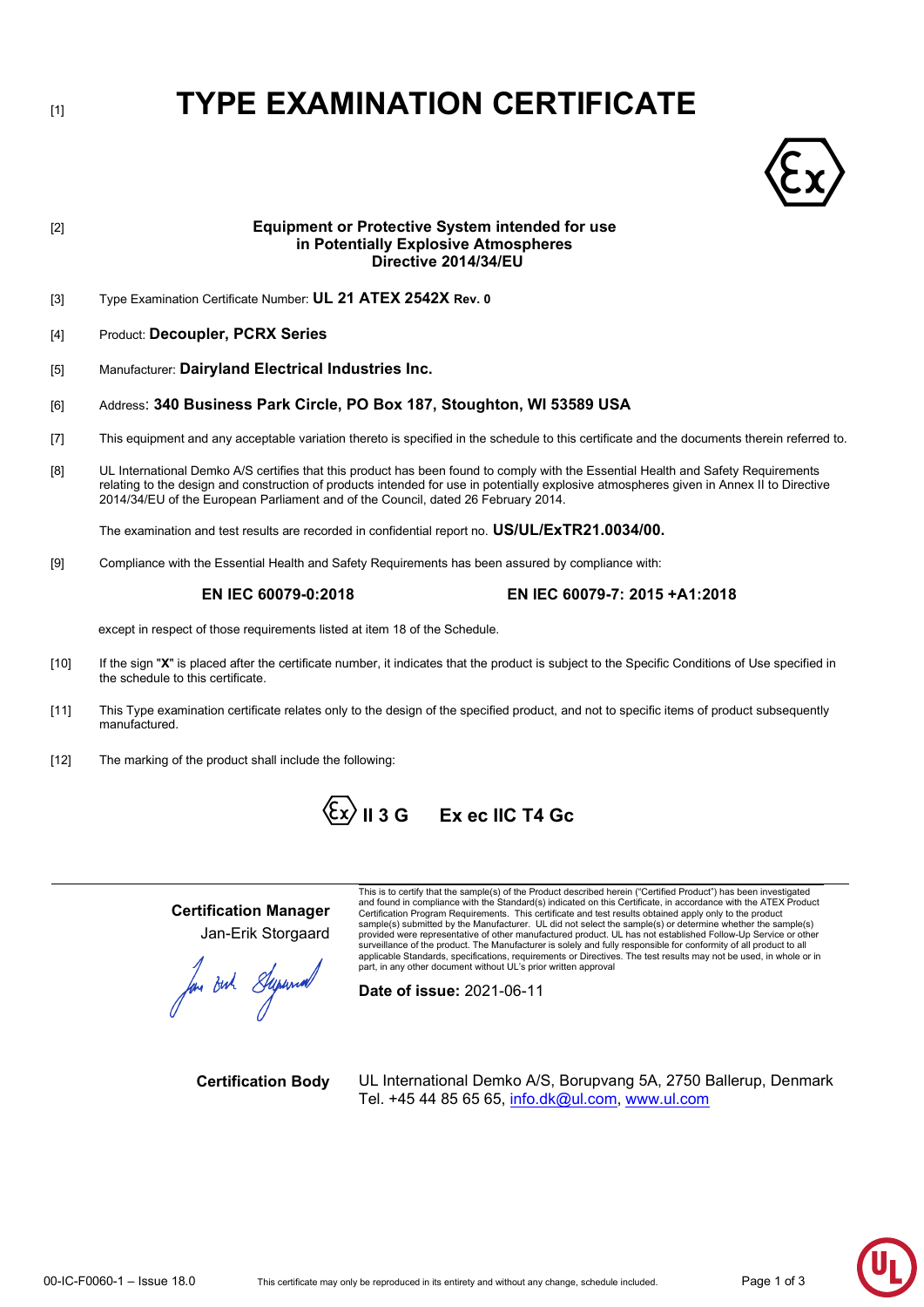# [1] **TYPE EXAMINATION CERTIFICATE**



## [2] **Equipment or Protective System intended for use in Potentially Explosive Atmospheres Directive 2014/34/EU** [3] Type Examination Certificate Number: **UL 21 ATEX 2542X Rev. 0** [4] Product: **Decoupler, PCRX Series** [5] Manufacturer: **Dairyland Electrical Industries Inc.** [6] Address: **340 Business Park Circle, PO Box 187, Stoughton, WI 53589 USA** [7] This equipment and any acceptable variation thereto is specified in the schedule to this certificate and the documents therein referred to. [8] UL International Demko A/S certifies that this product has been found to comply with the Essential Health and Safety Requirements relating to the design and construction of products intended for use in potentially explosive atmospheres given in Annex II to Directive 2014/34/EU of the European Parliament and of the Council, dated 26 February 2014. The examination and test results are recorded in confidential report no. **US/UL/ExTR21.0034/00.** [9] Compliance with the Essential Health and Safety Requirements has been assured by compliance with: **EN IEC 60079-0:2018 EN IEC 60079-7: 2015 +A1:2018** except in respect of those requirements listed at item 18 of the Schedule. [10] If the sign "X" is placed after the certificate number, it indicates that the product is subject to the Specific Conditions of Use specified in the schedule to this certificate.

- [11] This Type examination certificate relates only to the design of the specified product, and not to specific items of product subsequently manufactured.
- [12] The marking of the product shall include the following:



**Certification Manager** Jan-Erik Storgaard

lan Buh Stepannal

This is to certify that the sample(s) of the Product described herein ("Certified Product") has been investigated<br>and found in compliance with the Standard(s) indicated on this Certificate, in accordance with the ATEX Prod Certification Program Requirements. This certificate and test results obtained apply only to the product sample(s) submitted by the Manufacturer. UL did not select the sample(s) or determine whether the sample(s) provided were representative of other manufactured product. UL has not established Follow-Up Service or other<br>surveillance of the product. The Manufacturer is solely and fully responsible for conformity of all product to a applicable Standards, specifications, requirements or Directives. The test results may not be used, in whole or in part, in any other document without UL's prior written approval

**Date of issue:** 2021-06-11

**Certification Body** UL International Demko A/S, Borupvang 5A, 2750 Ballerup, Denmark Tel. +45 44 85 65 65, [info.dk@ul.com,](mailto:info.dk@ul.com) [www.ul.com](http://www.ul.com/)

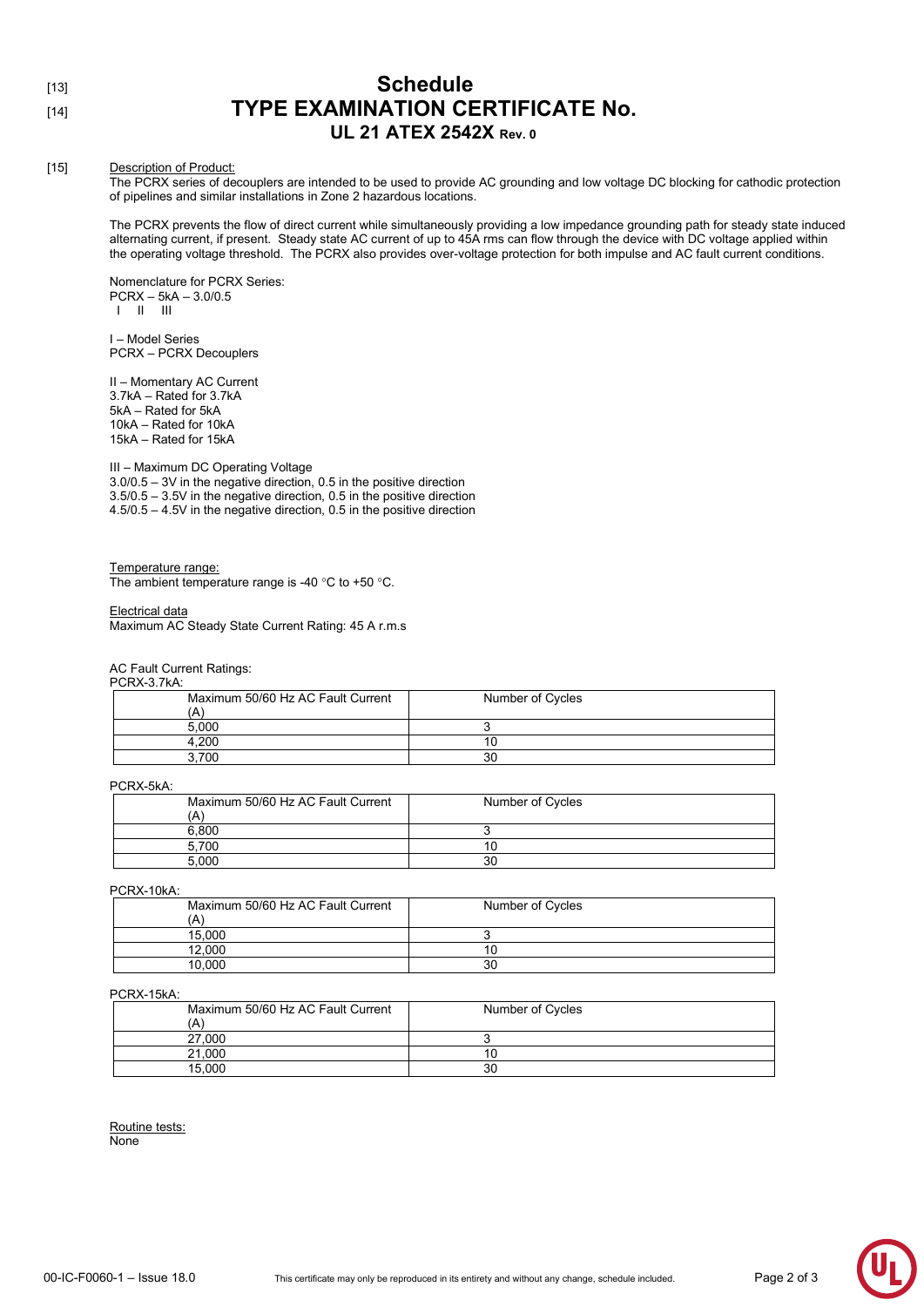## [13] **Schedule** [14] **TYPE EXAMINATION CERTIFICATE No. UL 21 ATEX 2542X Rev. 0**

#### [15] Description of Product:

The PCRX series of decouplers are intended to be used to provide AC grounding and low voltage DC blocking for cathodic protection of pipelines and similar installations in Zone 2 hazardous locations.

The PCRX prevents the flow of direct current while simultaneously providing a low impedance grounding path for steady state induced alternating current, if present. Steady state AC current of up to 45A rms can flow through the device with DC voltage applied within the operating voltage threshold. The PCRX also provides over-voltage protection for both impulse and AC fault current conditions.

Nomenclature for PCRX Series: PCRX – 5kA – 3.0/0.5 I II III

I – Model Series PCRX – PCRX Decouplers

II – Momentary AC Current 3.7kA – Rated for 3.7kA 5kA – Rated for 5kA 10kA – Rated for 10kA 15kA – Rated for 15kA

III – Maximum DC Operating Voltage 3.0/0.5 – 3V in the negative direction, 0.5 in the positive direction 3.5/0.5 – 3.5V in the negative direction, 0.5 in the positive direction 4.5/0.5 – 4.5V in the negative direction, 0.5 in the positive direction

Temperature range: The ambient temperature range is -40 °C to +50 °C.

#### Electrical data

Maximum AC Steady State Current Rating: 45 A r.m.s

AC Fault Current Ratings:

#### PCRX-3.7kA:

| Maximum 50/60 Hz AC Fault Current | Number of Cycles |
|-----------------------------------|------------------|
| 5.000                             |                  |
| +.200                             |                  |
| .700                              | 30               |

#### PCRX-5kA:

| Maximum 50/60 Hz AC Fault Current | Number of Cycles |
|-----------------------------------|------------------|
| (A'                               |                  |
| 6.800                             |                  |
| 5.700                             | I C              |
| 5.000                             | 30               |

PCRX-10kA:

| $\sim$ $\sim$ $\sim$ $\sim$ $\sim$<br>Maximum 50/60 Hz AC Fault Current<br>ίA | Number of Cycles |
|-------------------------------------------------------------------------------|------------------|
| 15.000                                                                        |                  |
| 12.000                                                                        | 10               |
| 10.000                                                                        | 30               |

#### PCRX-15kA:

| $\sim$ $\sim$ $\sim$ $\sim$ $\sim$ |                  |
|------------------------------------|------------------|
| Maximum 50/60 Hz AC Fault Current  | Number of Cycles |
| Ά                                  |                  |
| 27.000                             |                  |
| 21.000                             |                  |
| 15.000                             | 30               |

Routine tests: None